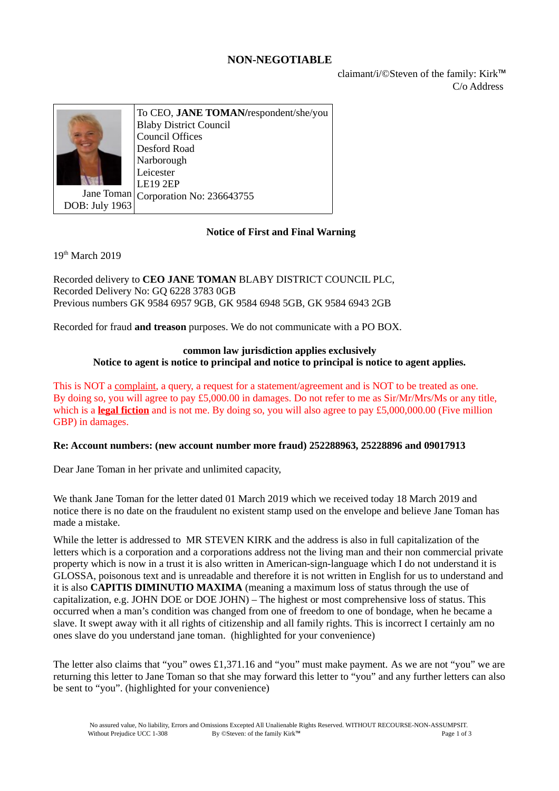# **NON-NEGOTIABLE**

claimant/i/©Steven of the family: Kirk™ C/o Address



Jane Toman Corporation No: 236643755 To CEO, **JANE TOMAN/**respondent/she/you Blaby District Council Council Offices Desford Road Narborough Leicester LE19 2EP

DOB: July 1963

# **Notice of First and Final Warning**

 $19<sup>th</sup>$  March 2019

Recorded delivery to **CEO JANE TOMAN** BLABY DISTRICT COUNCIL PLC, Recorded Delivery No: GQ 6228 3783 0GB Previous numbers GK 9584 6957 9GB, GK 9584 6948 5GB, GK 9584 6943 2GB

Recorded for fraud **and treason** purposes. We do not communicate with a PO BOX.

#### **common law jurisdiction applies exclusively Notice to agent is notice to principal and notice to principal is notice to agent applies.**

This is NOT a complaint, a query, a request for a statement/agreement and is NOT to be treated as one. By doing so, you will agree to pay £5,000.00 in damages. Do not refer to me as Sir/Mr/Mrs/Ms or any title, which is a **legal fiction** and is not me. By doing so, you will also agree to pay £5,000,000.00 (Five million GBP) in damages.

### **Re: Account numbers: (new account number more fraud) 252288963, 25228896 and 09017913**

Dear Jane Toman in her private and unlimited capacity,

We thank Jane Toman for the letter dated 01 March 2019 which we received today 18 March 2019 and notice there is no date on the fraudulent no existent stamp used on the envelope and believe Jane Toman has made a mistake.

While the letter is addressed to MR STEVEN KIRK and the address is also in full capitalization of the letters which is a corporation and a corporations address not the living man and their non commercial private property which is now in a trust it is also written in American-sign-language which I do not understand it is GLOSSA, poisonous text and is unreadable and therefore it is not written in English for us to understand and it is also **CAPITIS DIMINUTIO MAXIMA** (meaning a maximum loss of status through the use of capitalization, e.g. JOHN DOE or DOE JOHN) – The highest or most comprehensive loss of status. This occurred when a man's condition was changed from one of freedom to one of bondage, when he became a slave. It swept away with it all rights of citizenship and all family rights. This is incorrect I certainly am no ones slave do you understand jane toman. (highlighted for your convenience)

The letter also claims that "you" owes £1,371.16 and "you" must make payment. As we are not "you" we are returning this letter to Jane Toman so that she may forward this letter to "you" and any further letters can also be sent to "you". (highlighted for your convenience)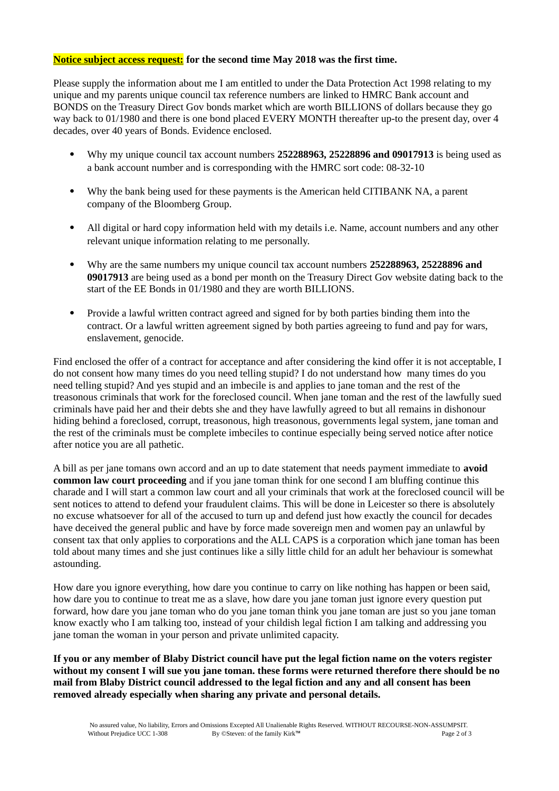### **Notice subject access request: for the second time May 2018 was the first time.**

Please supply the information about me I am entitled to under the Data Protection Act 1998 relating to my unique and my parents unique council tax reference numbers are linked to HMRC Bank account and BONDS on the Treasury Direct Gov bonds market which are worth BILLIONS of dollars because they go way back to 01/1980 and there is one bond placed EVERY MONTH thereafter up-to the present day, over 4 decades, over 40 years of Bonds. Evidence enclosed.

- Why my unique council tax account numbers **252288963, 25228896 and 09017913** is being used as a bank account number and is corresponding with the HMRC sort code: 08-32-10
- Why the bank being used for these payments is the American held CITIBANK NA, a parent company of the Bloomberg Group.
- All digital or hard copy information held with my details i.e. Name, account numbers and any other relevant unique information relating to me personally.
- Why are the same numbers my unique council tax account numbers **252288963, 25228896 and 09017913** are being used as a bond per month on the Treasury Direct Gov website dating back to the start of the EE Bonds in 01/1980 and they are worth BILLIONS.
- Provide a lawful written contract agreed and signed for by both parties binding them into the contract. Or a lawful written agreement signed by both parties agreeing to fund and pay for wars, enslavement, genocide.

Find enclosed the offer of a contract for acceptance and after considering the kind offer it is not acceptable, I do not consent how many times do you need telling stupid? I do not understand how many times do you need telling stupid? And yes stupid and an imbecile is and applies to jane toman and the rest of the treasonous criminals that work for the foreclosed council. When jane toman and the rest of the lawfully sued criminals have paid her and their debts she and they have lawfully agreed to but all remains in dishonour hiding behind a foreclosed, corrupt, treasonous, high treasonous, governments legal system, jane toman and the rest of the criminals must be complete imbeciles to continue especially being served notice after notice after notice you are all pathetic.

A bill as per jane tomans own accord and an up to date statement that needs payment immediate to **avoid common law court proceeding** and if you jane toman think for one second I am bluffing continue this charade and I will start a common law court and all your criminals that work at the foreclosed council will be sent notices to attend to defend your fraudulent claims. This will be done in Leicester so there is absolutely no excuse whatsoever for all of the accused to turn up and defend just how exactly the council for decades have deceived the general public and have by force made sovereign men and women pay an unlawful by consent tax that only applies to corporations and the ALL CAPS is a corporation which jane toman has been told about many times and she just continues like a silly little child for an adult her behaviour is somewhat astounding.

How dare you ignore everything, how dare you continue to carry on like nothing has happen or been said, how dare you to continue to treat me as a slave, how dare you jane toman just ignore every question put forward, how dare you jane toman who do you jane toman think you jane toman are just so you jane toman know exactly who I am talking too, instead of your childish legal fiction I am talking and addressing you jane toman the woman in your person and private unlimited capacity.

**If you or any member of Blaby District council have put the legal fiction name on the voters register without my consent I will sue you jane toman. these forms were returned therefore there should be no mail from Blaby District council addressed to the legal fiction and any and all consent has been removed already especially when sharing any private and personal details.**